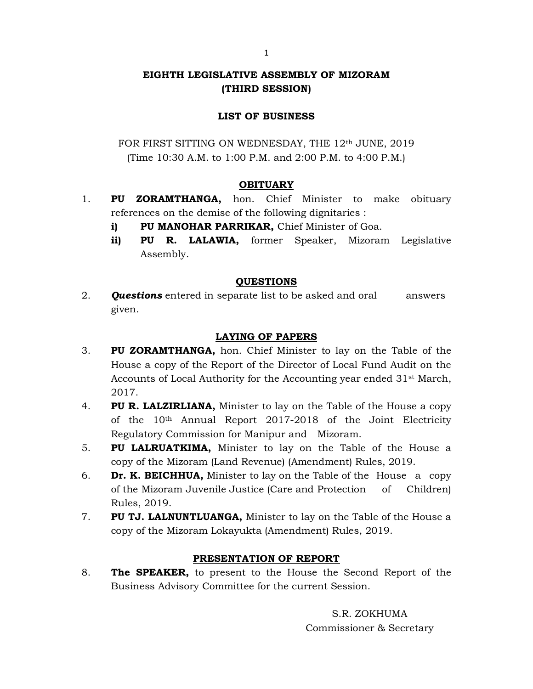# EIGHTH LEGISLATIVE ASSEMBLY OF MIZORAM (THIRD SESSION)

## LIST OF BUSINESS

FOR FIRST SITTING ON WEDNESDAY, THE 12<sup>th</sup> JUNE, 2019 (Time 10:30 A.M. to 1:00 P.M. and 2:00 P.M. to 4:00 P.M.)

### **OBITUARY**

- 1. PU ZORAMTHANGA, hon. Chief Minister to make obituary references on the demise of the following dignitaries :
	- i) PU MANOHAR PARRIKAR, Chief Minister of Goa.
	- ii) PU R. LALAWIA, former Speaker, Mizoram Legislative Assembly.

#### QUESTIONS

2. **Questions** entered in separate list to be asked and oral answers given.

### LAYING OF PAPERS

- 3. PU ZORAMTHANGA, hon. Chief Minister to lay on the Table of the House a copy of the Report of the Director of Local Fund Audit on the Accounts of Local Authority for the Accounting year ended 31st March, 2017.
- 4. PU R. LALZIRLIANA, Minister to lay on the Table of the House a copy of the 10th Annual Report 2017-2018 of the Joint Electricity Regulatory Commission for Manipur and Mizoram.
- 5. PU LALRUATKIMA, Minister to lay on the Table of the House a copy of the Mizoram (Land Revenue) (Amendment) Rules, 2019.
- 6. **Dr. K. BEICHHUA,** Minister to lay on the Table of the House a copy of the Mizoram Juvenile Justice (Care and Protection of Children) Rules, 2019.
- 7. PU TJ. LALNUNTLUANGA, Minister to lay on the Table of the House a copy of the Mizoram Lokayukta (Amendment) Rules, 2019.

#### PRESENTATION OF REPORT

8. The SPEAKER, to present to the House the Second Report of the Business Advisory Committee for the current Session.

> S.R. ZOKHUMA Commissioner & Secretary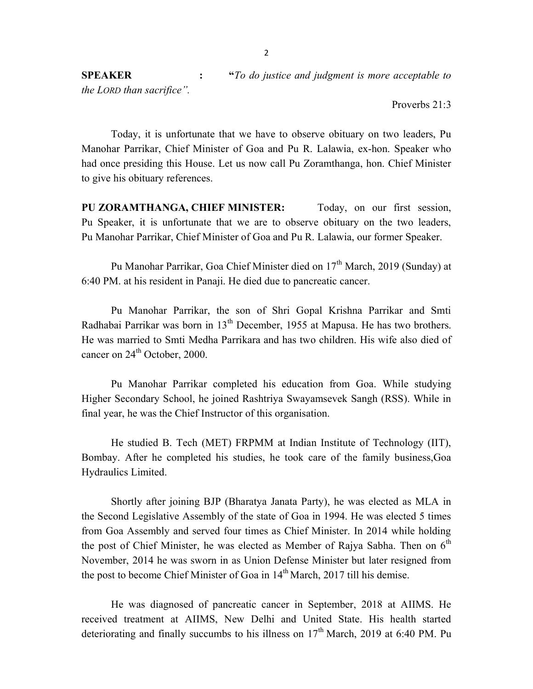Proverbs 21:3

 Today, it is unfortunate that we have to observe obituary on two leaders, Pu Manohar Parrikar, Chief Minister of Goa and Pu R. Lalawia, ex-hon. Speaker who had once presiding this House. Let us now call Pu Zoramthanga, hon. Chief Minister to give his obituary references.

PU ZORAMTHANGA, CHIEF MINISTER: Today, on our first session, Pu Speaker, it is unfortunate that we are to observe obituary on the two leaders, Pu Manohar Parrikar, Chief Minister of Goa and Pu R. Lalawia, our former Speaker.

Pu Manohar Parrikar, Goa Chief Minister died on 17<sup>th</sup> March, 2019 (Sunday) at 6:40 PM. at his resident in Panaji. He died due to pancreatic cancer.

 Pu Manohar Parrikar, the son of Shri Gopal Krishna Parrikar and Smti Radhabai Parrikar was born in  $13<sup>th</sup>$  December, 1955 at Mapusa. He has two brothers. He was married to Smti Medha Parrikara and has two children. His wife also died of cancer on  $24<sup>th</sup>$  October, 2000.

 Pu Manohar Parrikar completed his education from Goa. While studying Higher Secondary School, he joined Rashtriya Swayamsevek Sangh (RSS). While in final year, he was the Chief Instructor of this organisation.

 He studied B. Tech (MET) FRPMM at Indian Institute of Technology (IIT), Bombay. After he completed his studies, he took care of the family business,Goa Hydraulics Limited.

 Shortly after joining BJP (Bharatya Janata Party), he was elected as MLA in the Second Legislative Assembly of the state of Goa in 1994. He was elected 5 times from Goa Assembly and served four times as Chief Minister. In 2014 while holding the post of Chief Minister, he was elected as Member of Rajya Sabha. Then on  $6<sup>th</sup>$ November, 2014 he was sworn in as Union Defense Minister but later resigned from the post to become Chief Minister of Goa in  $14<sup>th</sup>$  March, 2017 till his demise.

He was diagnosed of pancreatic cancer in September, 2018 at AIIMS. He received treatment at AIIMS, New Delhi and United State. His health started deteriorating and finally succumbs to his illness on  $17<sup>th</sup>$  March, 2019 at 6:40 PM. Pu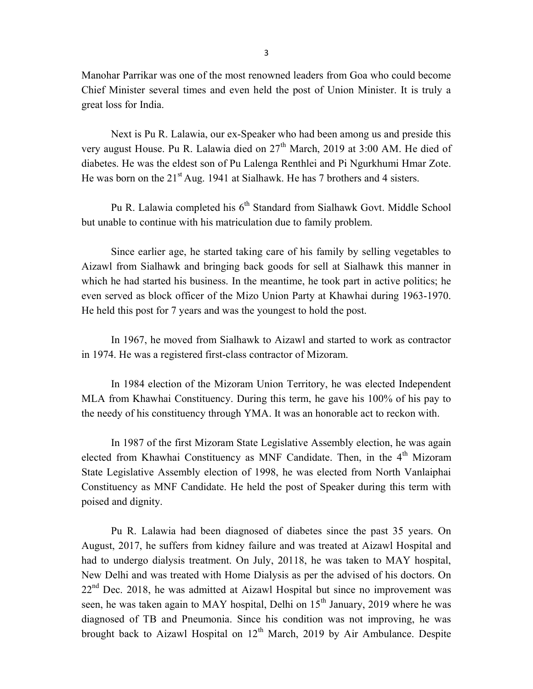Manohar Parrikar was one of the most renowned leaders from Goa who could become Chief Minister several times and even held the post of Union Minister. It is truly a great loss for India.

Next is Pu R. Lalawia, our ex-Speaker who had been among us and preside this very august House. Pu R. Lalawia died on  $27<sup>th</sup>$  March, 2019 at 3:00 AM. He died of diabetes. He was the eldest son of Pu Lalenga Renthlei and Pi Ngurkhumi Hmar Zote. He was born on the  $21^{st}$  Aug. 1941 at Sialhawk. He has 7 brothers and 4 sisters.

Pu R. Lalawia completed his 6<sup>th</sup> Standard from Sialhawk Govt. Middle School but unable to continue with his matriculation due to family problem.

 Since earlier age, he started taking care of his family by selling vegetables to Aizawl from Sialhawk and bringing back goods for sell at Sialhawk this manner in which he had started his business. In the meantime, he took part in active politics; he even served as block officer of the Mizo Union Party at Khawhai during 1963-1970. He held this post for 7 years and was the youngest to hold the post.

In 1967, he moved from Sialhawk to Aizawl and started to work as contractor in 1974. He was a registered first-class contractor of Mizoram.

 In 1984 election of the Mizoram Union Territory, he was elected Independent MLA from Khawhai Constituency. During this term, he gave his 100% of his pay to the needy of his constituency through YMA. It was an honorable act to reckon with.

In 1987 of the first Mizoram State Legislative Assembly election, he was again elected from Khawhai Constituency as MNF Candidate. Then, in the 4<sup>th</sup> Mizoram State Legislative Assembly election of 1998, he was elected from North Vanlaiphai Constituency as MNF Candidate. He held the post of Speaker during this term with poised and dignity.

Pu R. Lalawia had been diagnosed of diabetes since the past 35 years. On August, 2017, he suffers from kidney failure and was treated at Aizawl Hospital and had to undergo dialysis treatment. On July, 20118, he was taken to MAY hospital, New Delhi and was treated with Home Dialysis as per the advised of his doctors. On  $22<sup>nd</sup>$  Dec. 2018, he was admitted at Aizawl Hospital but since no improvement was seen, he was taken again to MAY hospital, Delhi on  $15<sup>th</sup>$  January, 2019 where he was diagnosed of TB and Pneumonia. Since his condition was not improving, he was brought back to Aizawl Hospital on  $12<sup>th</sup>$  March, 2019 by Air Ambulance. Despite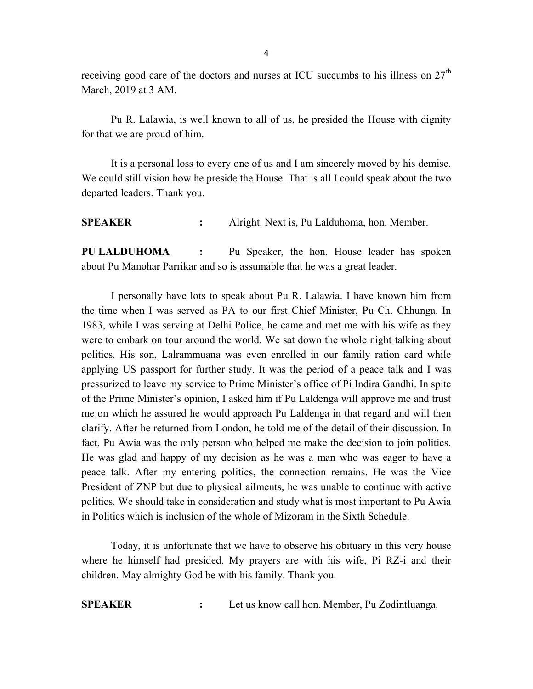receiving good care of the doctors and nurses at ICU succumbs to his illness on  $27<sup>th</sup>$ March, 2019 at 3 AM.

Pu R. Lalawia, is well known to all of us, he presided the House with dignity for that we are proud of him.

 It is a personal loss to every one of us and I am sincerely moved by his demise. We could still vision how he preside the House. That is all I could speak about the two departed leaders. Thank you.

SPEAKER : Alright. Next is, Pu Lalduhoma, hon. Member.

PU LALDUHOMA : Pu Speaker, the hon. House leader has spoken about Pu Manohar Parrikar and so is assumable that he was a great leader.

 I personally have lots to speak about Pu R. Lalawia. I have known him from the time when I was served as PA to our first Chief Minister, Pu Ch. Chhunga. In 1983, while I was serving at Delhi Police, he came and met me with his wife as they were to embark on tour around the world. We sat down the whole night talking about politics. His son, Lalrammuana was even enrolled in our family ration card while applying US passport for further study. It was the period of a peace talk and I was pressurized to leave my service to Prime Minister's office of Pi Indira Gandhi. In spite of the Prime Minister's opinion, I asked him if Pu Laldenga will approve me and trust me on which he assured he would approach Pu Laldenga in that regard and will then clarify. After he returned from London, he told me of the detail of their discussion. In fact, Pu Awia was the only person who helped me make the decision to join politics. He was glad and happy of my decision as he was a man who was eager to have a peace talk. After my entering politics, the connection remains. He was the Vice President of ZNP but due to physical ailments, he was unable to continue with active politics. We should take in consideration and study what is most important to Pu Awia in Politics which is inclusion of the whole of Mizoram in the Sixth Schedule.

 Today, it is unfortunate that we have to observe his obituary in this very house where he himself had presided. My prayers are with his wife, Pi RZ-i and their children. May almighty God be with his family. Thank you.

SPEAKER : Let us know call hon. Member, Pu Zodintluanga.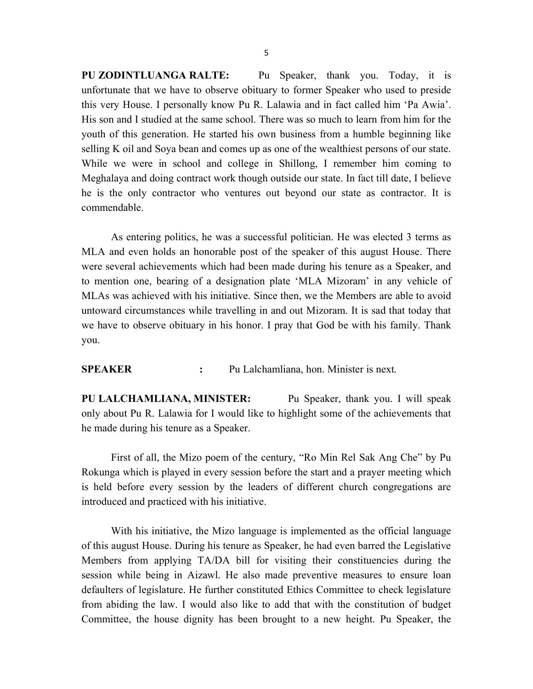PU ZODINTLUANGA RALTE: Pu Speaker, thank you. Today, it is unfortunate that we have to observe obituary to former Speaker who used to preside this very House. I personally know Pu R. Lalawia and in fact called him 'Pa Awia'. His son and I studied at the same school. There was so much to learn from him for the youth of this generation. He started his own business from a humble beginning like selling K oil and Soya bean and comes up as one of the wealthiest persons of our state. While we were in school and college in Shillong, I remember him coming to Meghalaya and doing contract work though outside our state. In fact till date, I believe he is the only contractor who ventures out beyond our state as contractor. It is commendable.

 As entering politics, he was a successful politician. He was elected 3 terms as MLA and even holds an honorable post of the speaker of this august House. There were several achievements which had been made during his tenure as a Speaker, and to mention one, bearing of a designation plate 'MLA Mizoram' in any vehicle of MLAs was achieved with his initiative. Since then, we the Members are able to avoid untoward circumstances while travelling in and out Mizoram. It is sad that today that we have to observe obituary in his honor. I pray that God be with his family. Thank you.

SPEAKER : Pu Lalchamliana, hon. Minister is next.

PU LALCHAMLIANA, MINISTER: Pu Speaker, thank you. I will speak only about Pu R. Lalawia for I would like to highlight some of the achievements that he made during his tenure as a Speaker.

First of all, the Mizo poem of the century, "Ro Min Rel Sak Ang Che" by Pu Rokunga which is played in every session before the start and a prayer meeting which is held before every session by the leaders of different church congregations are introduced and practiced with his initiative.

 With his initiative, the Mizo language is implemented as the official language of this august House. During his tenure as Speaker, he had even barred the Legislative Members from applying TA/DA bill for visiting their constituencies during the session while being in Aizawl. He also made preventive measures to ensure loan defaulters of legislature. He further constituted Ethics Committee to check legislature from abiding the law. I would also like to add that with the constitution of budget Committee, the house dignity has been brought to a new height. Pu Speaker, the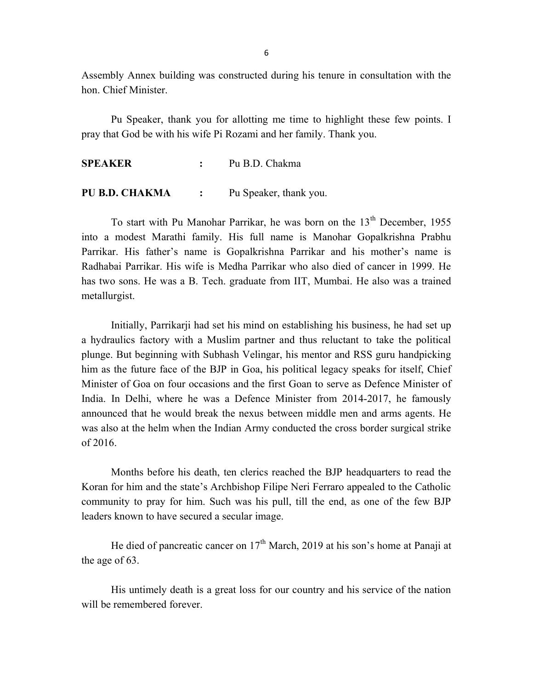Assembly Annex building was constructed during his tenure in consultation with the hon. Chief Minister.

 Pu Speaker, thank you for allotting me time to highlight these few points. I pray that God be with his wife Pi Rozami and her family. Thank you.

SPEAKER : Pu B.D. Chakma

PU B.D. CHAKMA : Pu Speaker, thank you.

To start with Pu Manohar Parrikar, he was born on the 13<sup>th</sup> December, 1955 into a modest Marathi family. His full name is Manohar Gopalkrishna Prabhu Parrikar. His father's name is Gopalkrishna Parrikar and his mother's name is Radhabai Parrikar. His wife is Medha Parrikar who also died of cancer in 1999. He has two sons. He was a B. Tech. graduate from IIT, Mumbai. He also was a trained metallurgist.

 Initially, Parrikarji had set his mind on establishing his business, he had set up a hydraulics factory with a Muslim partner and thus reluctant to take the political plunge. But beginning with Subhash Velingar, his mentor and RSS guru handpicking him as the future face of the BJP in Goa, his political legacy speaks for itself, Chief Minister of Goa on four occasions and the first Goan to serve as Defence Minister of India. In Delhi, where he was a Defence Minister from 2014-2017, he famously announced that he would break the nexus between middle men and arms agents. He was also at the helm when the Indian Army conducted the cross border surgical strike of 2016.

 Months before his death, ten clerics reached the BJP headquarters to read the Koran for him and the state's Archbishop Filipe Neri Ferraro appealed to the Catholic community to pray for him. Such was his pull, till the end, as one of the few BJP leaders known to have secured a secular image.

He died of pancreatic cancer on  $17<sup>th</sup>$  March, 2019 at his son's home at Panaji at the age of 63.

 His untimely death is a great loss for our country and his service of the nation will be remembered forever.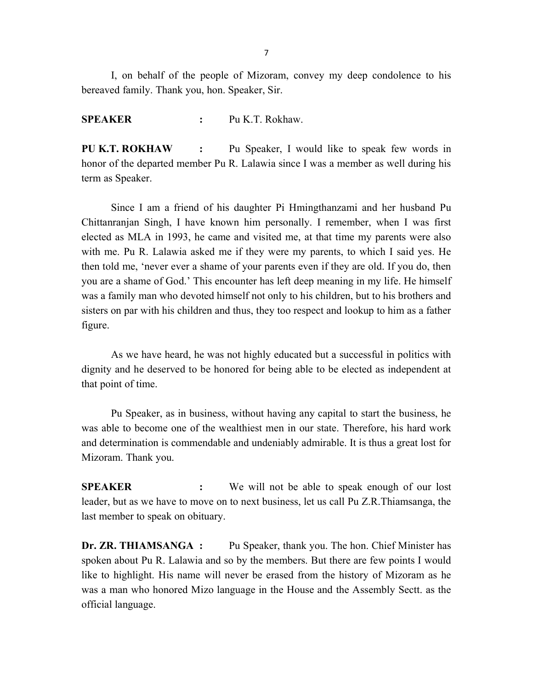I, on behalf of the people of Mizoram, convey my deep condolence to his bereaved family. Thank you, hon. Speaker, Sir.

SPEAKER : Pu K.T. Rokhaw.

PU K.T. ROKHAW : Pu Speaker, I would like to speak few words in honor of the departed member Pu R. Lalawia since I was a member as well during his term as Speaker.

 Since I am a friend of his daughter Pi Hmingthanzami and her husband Pu Chittanranjan Singh, I have known him personally. I remember, when I was first elected as MLA in 1993, he came and visited me, at that time my parents were also with me. Pu R. Lalawia asked me if they were my parents, to which I said yes. He then told me, 'never ever a shame of your parents even if they are old. If you do, then you are a shame of God.' This encounter has left deep meaning in my life. He himself was a family man who devoted himself not only to his children, but to his brothers and sisters on par with his children and thus, they too respect and lookup to him as a father figure.

As we have heard, he was not highly educated but a successful in politics with dignity and he deserved to be honored for being able to be elected as independent at that point of time.

 Pu Speaker, as in business, without having any capital to start the business, he was able to become one of the wealthiest men in our state. Therefore, his hard work and determination is commendable and undeniably admirable. It is thus a great lost for Mizoram. Thank you.

**SPEAKER** : We will not be able to speak enough of our lost leader, but as we have to move on to next business, let us call Pu Z.R.Thiamsanga, the last member to speak on obituary.

Dr. ZR. THIAMSANGA : Pu Speaker, thank you. The hon. Chief Minister has spoken about Pu R. Lalawia and so by the members. But there are few points I would like to highlight. His name will never be erased from the history of Mizoram as he was a man who honored Mizo language in the House and the Assembly Sectt. as the official language.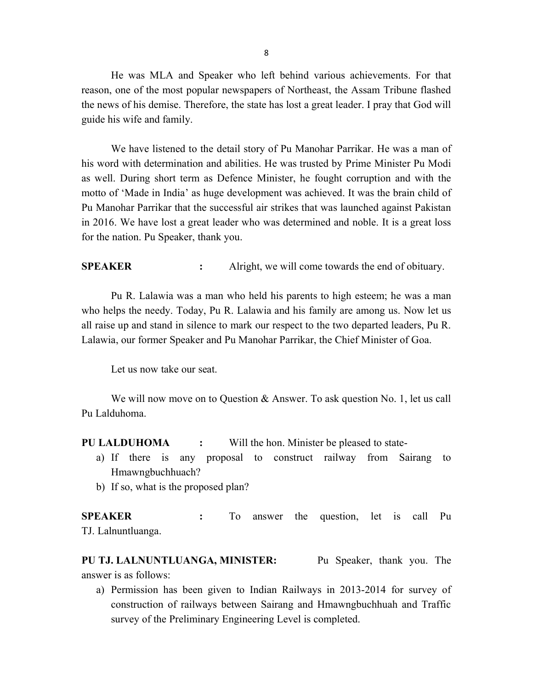He was MLA and Speaker who left behind various achievements. For that reason, one of the most popular newspapers of Northeast, the Assam Tribune flashed the news of his demise. Therefore, the state has lost a great leader. I pray that God will guide his wife and family.

We have listened to the detail story of Pu Manohar Parrikar. He was a man of his word with determination and abilities. He was trusted by Prime Minister Pu Modi as well. During short term as Defence Minister, he fought corruption and with the motto of 'Made in India' as huge development was achieved. It was the brain child of Pu Manohar Parrikar that the successful air strikes that was launched against Pakistan in 2016. We have lost a great leader who was determined and noble. It is a great loss for the nation. Pu Speaker, thank you.

**SPEAKER** : Alright, we will come towards the end of obituary.

Pu R. Lalawia was a man who held his parents to high esteem; he was a man who helps the needy. Today, Pu R. Lalawia and his family are among us. Now let us all raise up and stand in silence to mark our respect to the two departed leaders, Pu R. Lalawia, our former Speaker and Pu Manohar Parrikar, the Chief Minister of Goa.

Let us now take our seat.

We will now move on to Question & Answer. To ask question No. 1, let us call Pu Lalduhoma.

PU LALDUHOMA : Will the hon. Minister be pleased to state-

- a) If there is any proposal to construct railway from Sairang to Hmawngbuchhuach?
- b) If so, what is the proposed plan?

SPEAKER : To answer the question, let is call Pu TJ. Lalnuntluanga.

PU TJ. LALNUNTLUANGA, MINISTER: Pu Speaker, thank you. The answer is as follows:

a) Permission has been given to Indian Railways in 2013-2014 for survey of construction of railways between Sairang and Hmawngbuchhuah and Traffic survey of the Preliminary Engineering Level is completed.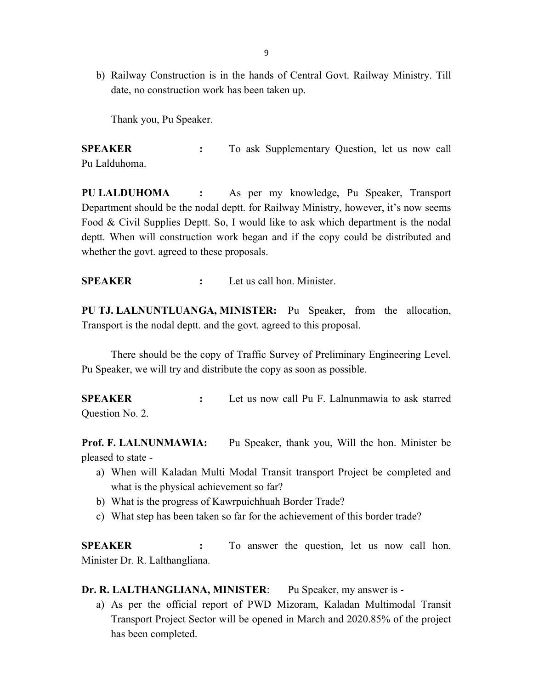b) Railway Construction is in the hands of Central Govt. Railway Ministry. Till date, no construction work has been taken up.

Thank you, Pu Speaker.

SPEAKER : To ask Supplementary Question, let us now call Pu Lalduhoma.

PU LALDUHOMA : As per my knowledge, Pu Speaker, Transport Department should be the nodal deptt. for Railway Ministry, however, it's now seems Food & Civil Supplies Deptt. So, I would like to ask which department is the nodal deptt. When will construction work began and if the copy could be distributed and whether the govt. agreed to these proposals.

SPEAKER : Let us call hon. Minister.

PU TJ. LALNUNTLUANGA, MINISTER: Pu Speaker, from the allocation, Transport is the nodal deptt. and the govt. agreed to this proposal.

 There should be the copy of Traffic Survey of Preliminary Engineering Level. Pu Speaker, we will try and distribute the copy as soon as possible.

SPEAKER : Let us now call Pu F. Lalnunmawia to ask starred Question No. 2.

Prof. F. LALNUNMAWIA: Pu Speaker, thank you, Will the hon. Minister be pleased to state -

- a) When will Kaladan Multi Modal Transit transport Project be completed and what is the physical achievement so far?
- b) What is the progress of Kawrpuichhuah Border Trade?
- c) What step has been taken so far for the achievement of this border trade?

SPEAKER : To answer the question, let us now call hon. Minister Dr. R. Lalthangliana.

Dr. R. LALTHANGLIANA, MINISTER: Pu Speaker, my answer is -

a) As per the official report of PWD Mizoram, Kaladan Multimodal Transit Transport Project Sector will be opened in March and 2020.85% of the project has been completed.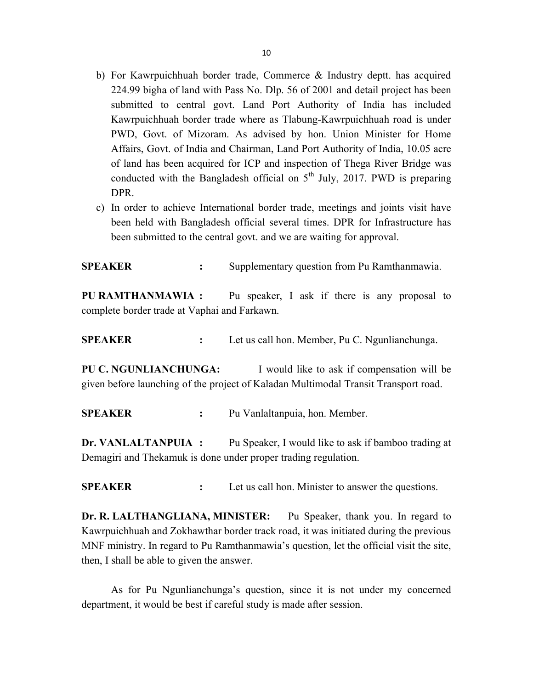- b) For Kawrpuichhuah border trade, Commerce & Industry deptt. has acquired 224.99 bigha of land with Pass No. Dlp. 56 of 2001 and detail project has been submitted to central govt. Land Port Authority of India has included Kawrpuichhuah border trade where as Tlabung-Kawrpuichhuah road is under PWD, Govt. of Mizoram. As advised by hon. Union Minister for Home Affairs, Govt. of India and Chairman, Land Port Authority of India, 10.05 acre of land has been acquired for ICP and inspection of Thega River Bridge was conducted with the Bangladesh official on  $5<sup>th</sup>$  July, 2017. PWD is preparing DPR.
- c) In order to achieve International border trade, meetings and joints visit have been held with Bangladesh official several times. DPR for Infrastructure has been submitted to the central govt. and we are waiting for approval.

SPEAKER : Supplementary question from Pu Ramthanmawia.

PU RAMTHANMAWIA : Pu speaker, I ask if there is any proposal to complete border trade at Vaphai and Farkawn.

SPEAKER : Let us call hon. Member, Pu C. Ngunlianchunga.

PU C. NGUNLIANCHUNGA: I would like to ask if compensation will be given before launching of the project of Kaladan Multimodal Transit Transport road.

SPEAKER : Pu Vanlaltanpuia, hon. Member.

Dr. VANLALTANPUIA : Pu Speaker, I would like to ask if bamboo trading at Demagiri and Thekamuk is done under proper trading regulation.

**SPEAKER** : Let us call hon. Minister to answer the questions.

Dr. R. LALTHANGLIANA, MINISTER: Pu Speaker, thank you. In regard to Kawrpuichhuah and Zokhawthar border track road, it was initiated during the previous MNF ministry. In regard to Pu Ramthanmawia's question, let the official visit the site, then, I shall be able to given the answer.

 As for Pu Ngunlianchunga's question, since it is not under my concerned department, it would be best if careful study is made after session.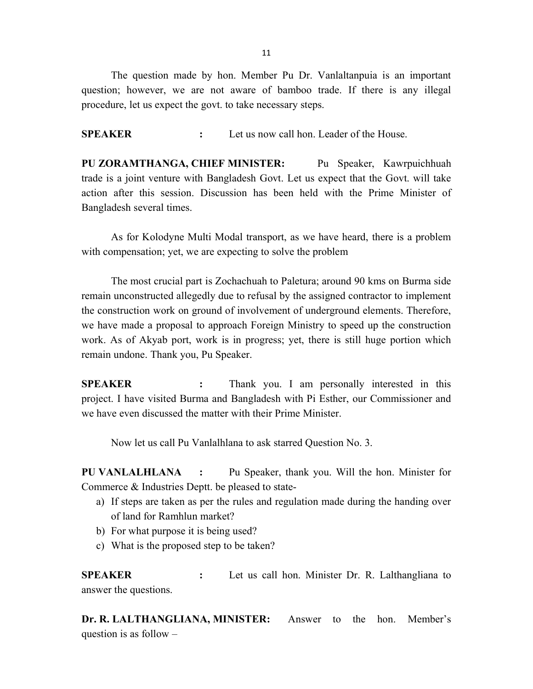11

 The question made by hon. Member Pu Dr. Vanlaltanpuia is an important question; however, we are not aware of bamboo trade. If there is any illegal procedure, let us expect the govt. to take necessary steps.

SPEAKER : Let us now call hon. Leader of the House.

PU ZORAMTHANGA, CHIEF MINISTER: Pu Speaker, Kawrpuichhuah trade is a joint venture with Bangladesh Govt. Let us expect that the Govt. will take action after this session. Discussion has been held with the Prime Minister of Bangladesh several times.

As for Kolodyne Multi Modal transport, as we have heard, there is a problem with compensation; yet, we are expecting to solve the problem

 The most crucial part is Zochachuah to Paletura; around 90 kms on Burma side remain unconstructed allegedly due to refusal by the assigned contractor to implement the construction work on ground of involvement of underground elements. Therefore, we have made a proposal to approach Foreign Ministry to speed up the construction work. As of Akyab port, work is in progress; yet, there is still huge portion which remain undone. Thank you, Pu Speaker.

SPEAKER : Thank you. I am personally interested in this project. I have visited Burma and Bangladesh with Pi Esther, our Commissioner and we have even discussed the matter with their Prime Minister.

Now let us call Pu Vanlalhlana to ask starred Question No. 3.

PU VANLALHLANA : Pu Speaker, thank you. Will the hon. Minister for Commerce & Industries Deptt. be pleased to state-

- a) If steps are taken as per the rules and regulation made during the handing over of land for Ramhlun market?
- b) For what purpose it is being used?
- c) What is the proposed step to be taken?

SPEAKER : Let us call hon. Minister Dr. R. Lalthangliana to answer the questions.

Dr. R. LALTHANGLIANA, MINISTER: Answer to the hon. Member's question is as follow –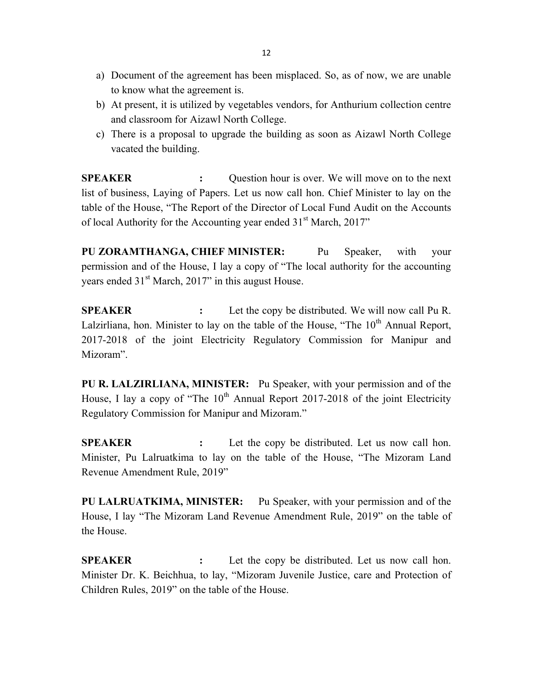- a) Document of the agreement has been misplaced. So, as of now, we are unable to know what the agreement is.
- b) At present, it is utilized by vegetables vendors, for Anthurium collection centre and classroom for Aizawl North College.
- c) There is a proposal to upgrade the building as soon as Aizawl North College vacated the building.

SPEAKER : Question hour is over. We will move on to the next list of business, Laying of Papers. Let us now call hon. Chief Minister to lay on the table of the House, "The Report of the Director of Local Fund Audit on the Accounts of local Authority for the Accounting year ended  $31<sup>st</sup>$  March, 2017"

PU ZORAMTHANGA, CHIEF MINISTER: Pu Speaker, with your permission and of the House, I lay a copy of "The local authority for the accounting years ended  $31<sup>st</sup>$  March, 2017" in this august House.

SPEAKER : Let the copy be distributed. We will now call Pu R. Lalzirliana, hon. Minister to lay on the table of the House, "The  $10<sup>th</sup>$  Annual Report, 2017-2018 of the joint Electricity Regulatory Commission for Manipur and Mizoram".

PU R. LALZIRLIANA, MINISTER: Pu Speaker, with your permission and of the House, I lay a copy of "The  $10<sup>th</sup>$  Annual Report 2017-2018 of the joint Electricity Regulatory Commission for Manipur and Mizoram."

**SPEAKER** : Let the copy be distributed. Let us now call hon. Minister, Pu Lalruatkima to lay on the table of the House, "The Mizoram Land Revenue Amendment Rule, 2019"

PU LALRUATKIMA, MINISTER: Pu Speaker, with your permission and of the House, I lay "The Mizoram Land Revenue Amendment Rule, 2019" on the table of the House.

**SPEAKER** : Let the copy be distributed. Let us now call hon. Minister Dr. K. Beichhua, to lay, "Mizoram Juvenile Justice, care and Protection of Children Rules, 2019" on the table of the House.